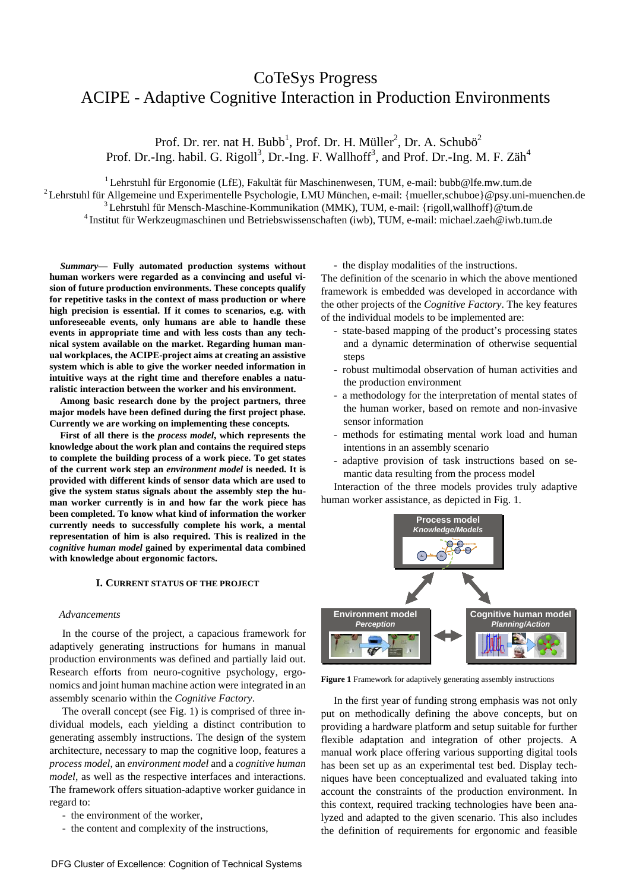# CoTeSys Progress ACIPE - Adaptive Cognitive Interaction in Production Environments

Prof. Dr. rer. nat H. Bubb<sup>1</sup>, Prof. Dr. H. Müller<sup>2</sup>, Dr. A. Schubö<sup>2</sup> Prof. Dr.-Ing. habil. G. Rigoll<sup>3</sup>, Dr.-Ing. F. Wallhoff<sup>3</sup>, and Prof. Dr.-Ing. M. F. Zäh<sup>4</sup>

<sup>1</sup> Lehrstuhl für Ergonomie (LfE), Fakultät für Maschinenwesen, TUM, e-mail: bubb@lfe.mw.tum.de<br><sup>2</sup> Lehrstuhl für Allgemeine und Experimentelle Psychologie, LMU München, e-mail: {mueller,schuboe}@psy.uni-muenchen.de<br><sup>3</sup> L

*Summary***— Fully automated production systems without human workers were regarded as a convincing and useful vision of future production environments. These concepts qualify for repetitive tasks in the context of mass production or where high precision is essential. If it comes to scenarios, e.g. with unforeseeable events, only humans are able to handle these events in appropriate time and with less costs than any technical system available on the market. Regarding human manual workplaces, the ACIPE-project aims at creating an assistive system which is able to give the worker needed information in intuitive ways at the right time and therefore enables a naturalistic interaction between the worker and his environment.** 

**Among basic research done by the project partners, three major models have been defined during the first project phase. Currently we are working on implementing these concepts.** 

**First of all there is the** *process model***, which represents the knowledge about the work plan and contains the required steps to complete the building process of a work piece. To get states of the current work step an** *environment model* **is needed. It is provided with different kinds of sensor data which are used to give the system status signals about the assembly step the human worker currently is in and how far the work piece has been completed. To know what kind of information the worker currently needs to successfully complete his work, a mental representation of him is also required. This is realized in the**  *cognitive human model* **gained by experimental data combined with knowledge about ergonomic factors.** 

## **I. CURRENT STATUS OF THE PROJECT**

#### *Advancements*

In the course of the project, a capacious framework for adaptively generating instructions for humans in manual production environments was defined and partially laid out. Research efforts from neuro-cognitive psychology, ergonomics and joint human machine action were integrated in an assembly scenario within the *Cognitive Factory*.

The overall concept (see Fig. 1) is comprised of three individual models, each yielding a distinct contribution to generating assembly instructions. The design of the system architecture, necessary to map the cognitive loop, features a *process model*, an *environment model* and a *cognitive human model*, as well as the respective interfaces and interactions. The framework offers situation-adaptive worker guidance in regard to:

- the environment of the worker,
- the content and complexity of the instructions,

- the display modalities of the instructions.

The definition of the scenario in which the above mentioned framework is embedded was developed in accordance with the other projects of the *Cognitive Factory*. The key features of the individual models to be implemented are:

- state-based mapping of the product's processing states and a dynamic determination of otherwise sequential steps
- robust multimodal observation of human activities and the production environment
- a methodology for the interpretation of mental states of the human worker, based on remote and non-invasive sensor information
- methods for estimating mental work load and human intentions in an assembly scenario
- adaptive provision of task instructions based on semantic data resulting from the process model

Interaction of the three models provides truly adaptive human worker assistance, as depicted in Fig. 1.



**Figure 1** Framework for adaptively generating assembly instructions

In the first year of funding strong emphasis was not only put on methodically defining the above concepts, but on providing a hardware platform and setup suitable for further flexible adaptation and integration of other projects. A manual work place offering various supporting digital tools has been set up as an experimental test bed. Display techniques have been conceptualized and evaluated taking into account the constraints of the production environment. In this context, required tracking technologies have been analyzed and adapted to the given scenario. This also includes the definition of requirements for ergonomic and feasible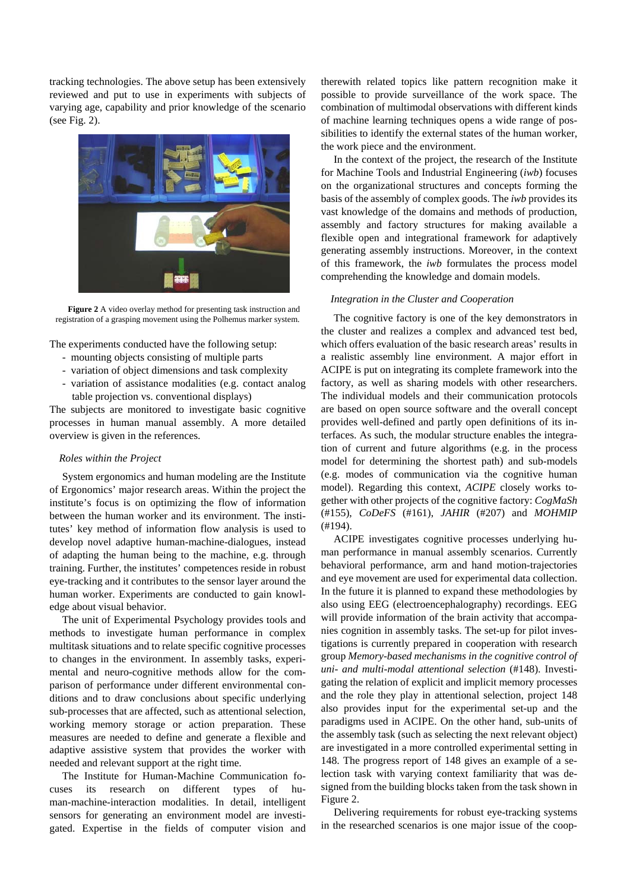tracking technologies. The above setup has been extensively reviewed and put to use in experiments with subjects of varying age, capability and prior knowledge of the scenario (see Fig. 2).



**Figure 2** A video overlay method for presenting task instruction and registration of a grasping movement using the Polhemus marker system.

The experiments conducted have the following setup:

- mounting objects consisting of multiple parts
- variation of object dimensions and task complexity
- variation of assistance modalities (e.g. contact analog table projection vs. conventional displays)

The subjects are monitored to investigate basic cognitive processes in human manual assembly. A more detailed overview is given in the references.

### *Roles within the Project*

System ergonomics and human modeling are the Institute of Ergonomics' major research areas. Within the project the institute's focus is on optimizing the flow of information between the human worker and its environment. The institutes' key method of information flow analysis is used to develop novel adaptive human-machine-dialogues, instead of adapting the human being to the machine, e.g. through training. Further, the institutes' competences reside in robust eye-tracking and it contributes to the sensor layer around the human worker. Experiments are conducted to gain knowledge about visual behavior.

The unit of Experimental Psychology provides tools and methods to investigate human performance in complex multitask situations and to relate specific cognitive processes to changes in the environment. In assembly tasks, experimental and neuro-cognitive methods allow for the comparison of performance under different environmental conditions and to draw conclusions about specific underlying sub-processes that are affected, such as attentional selection, working memory storage or action preparation. These measures are needed to define and generate a flexible and adaptive assistive system that provides the worker with needed and relevant support at the right time.

The Institute for Human-Machine Communication focuses its research on different types of human-machine-interaction modalities. In detail, intelligent sensors for generating an environment model are investigated. Expertise in the fields of computer vision and therewith related topics like pattern recognition make it possible to provide surveillance of the work space. The combination of multimodal observations with different kinds of machine learning techniques opens a wide range of possibilities to identify the external states of the human worker, the work piece and the environment.

In the context of the project, the research of the Institute for Machine Tools and Industrial Engineering (*iwb*) focuses on the organizational structures and concepts forming the basis of the assembly of complex goods. The *iwb* provides its vast knowledge of the domains and methods of production, assembly and factory structures for making available a flexible open and integrational framework for adaptively generating assembly instructions. Moreover, in the context of this framework, the *iwb* formulates the process model comprehending the knowledge and domain models.

#### *Integration in the Cluster and Cooperation*

The cognitive factory is one of the key demonstrators in the cluster and realizes a complex and advanced test bed, which offers evaluation of the basic research areas' results in a realistic assembly line environment. A major effort in ACIPE is put on integrating its complete framework into the factory, as well as sharing models with other researchers. The individual models and their communication protocols are based on open source software and the overall concept provides well-defined and partly open definitions of its interfaces. As such, the modular structure enables the integration of current and future algorithms (e.g. in the process model for determining the shortest path) and sub-models (e.g. modes of communication via the cognitive human model). Regarding this context, *ACIPE* closely works together with other projects of the cognitive factory: *CogMaSh* (#155), *CoDeFS* (#161), *JAHIR* (#207) and *MOHMIP* (#194).

ACIPE investigates cognitive processes underlying human performance in manual assembly scenarios. Currently behavioral performance, arm and hand motion-trajectories and eye movement are used for experimental data collection. In the future it is planned to expand these methodologies by also using EEG (electroencephalography) recordings. EEG will provide information of the brain activity that accompanies cognition in assembly tasks. The set-up for pilot investigations is currently prepared in cooperation with research group *Memory-based mechanisms in the cognitive control of uni- and multi-modal attentional selection* (#148). Investigating the relation of explicit and implicit memory processes and the role they play in attentional selection, project 148 also provides input for the experimental set-up and the paradigms used in ACIPE. On the other hand, sub-units of the assembly task (such as selecting the next relevant object) are investigated in a more controlled experimental setting in 148. The progress report of 148 gives an example of a selection task with varying context familiarity that was designed from the building blocks taken from the task shown in Figure 2.

Delivering requirements for robust eye-tracking systems in the researched scenarios is one major issue of the coop